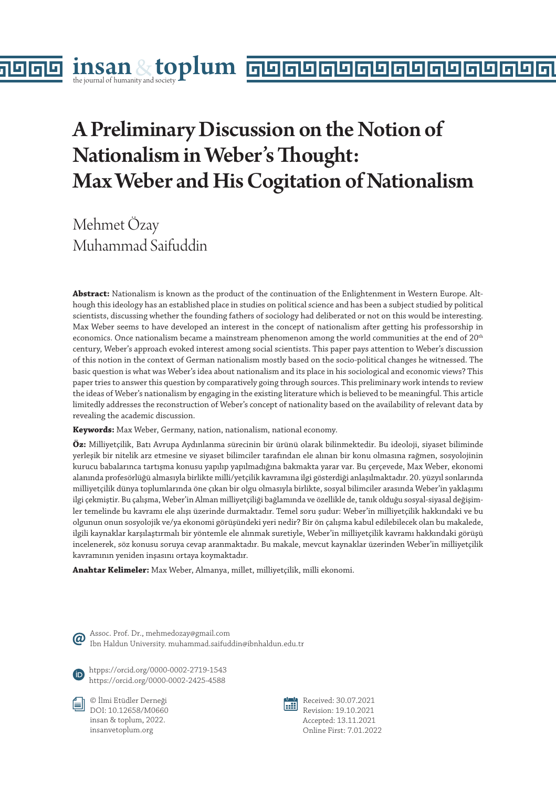# A Preliminary Discussion on the Notion of Nationalism in Weber's Thought: Max Weber and His Cogitation of Nationalism

Mehmet Özay Muhammad Saifuddin

**Abstract:** Nationalism is known as the product of the continuation of the Enlightenment in Western Europe. Although this ideology has an established place in studies on political science and has been a subject studied by political scientists, discussing whether the founding fathers of sociology had deliberated or not on this would be interesting. Max Weber seems to have developed an interest in the concept of nationalism after getting his professorship in economics. Once nationalism became a mainstream phenomenon among the world communities at the end of 20<sup>th</sup> century, Weber's approach evoked interest among social scientists. This paper pays attention to Weber's discussion of this notion in the context of German nationalism mostly based on the socio-political changes he witnessed. The basic question is what was Weber's idea about nationalism and its place in his sociological and economic views? This paper tries to answer this question by comparatively going through sources. This preliminary work intends to review the ideas of Weber's nationalism by engaging in the existing literature which is believed to be meaningful. This article limitedly addresses the reconstruction of Weber's concept of nationality based on the availability of relevant data by revealing the academic discussion.

**Keywords:** Max Weber, Germany, nation, nationalism, national economy.

**Öz:** Milliyetçilik, Batı Avrupa Aydınlanma sürecinin bir ürünü olarak bilinmektedir. Bu ideoloji, siyaset biliminde yerleşik bir nitelik arz etmesine ve siyaset bilimciler tarafından ele alınan bir konu olmasına rağmen, sosyolojinin kurucu babalarınca tartışma konusu yapılıp yapılmadığına bakmakta yarar var. Bu çerçevede, Max Weber, ekonomi alanında profesörlüğü almasıyla birlikte milli/yetçilik kavramına ilgi gösterdiği anlaşılmaktadır. 20. yüzyıl sonlarında milliyetçilik dünya toplumlarında öne çıkan bir olgu olmasıyla birlikte, sosyal bilimciler arasında Weber'in yaklaşımı ilgi çekmiştir. Bu çalışma, Weber'in Alman milliyetçiliği bağlamında ve özellikle de, tanık olduğu sosyal-siyasal değişimler temelinde bu kavramı ele alışı üzerinde durmaktadır. Temel soru şudur: Weber'in milliyetçilik hakkındaki ve bu olgunun onun sosyolojik ve/ya ekonomi görüşündeki yeri nedir? Bir ön çalışma kabul edilebilecek olan bu makalede, ilgili kaynaklar karşılaştırmalı bir yöntemle ele alınmak suretiyle, Weber'in milliyetçilik kavramı hakkındaki görüşü incelenerek, söz konusu soruya cevap aranmaktadır. Bu makale, mevcut kaynaklar üzerinden Weber'in milliyetçilik kavramının yeniden inşasını ortaya koymaktadır.

**Anahtar Kelimeler:** Max Weber, Almanya, millet, milliyetçilik, milli ekonomi.

Assoc. Prof. Dr., mehmedozay@gmail.com Ibn Haldun University. muhammad.saifuddin@ibnhaldun.edu.tr

htpps://orcid.org/0000-0002-2719-1543 https://orcid.org/0000-0002-2425-4588





Received: 30.07.2021 Revision: 19.10.2021 Accepted: 13.11.2021 Online First: 7.01.2022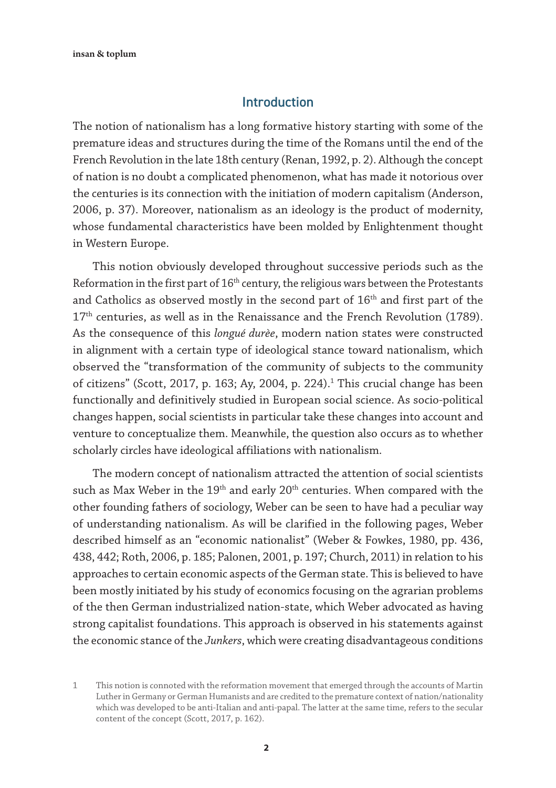## Introduction

The notion of nationalism has a long formative history starting with some of the premature ideas and structures during the time of the Romans until the end of the French Revolution in the late 18th century (Renan, 1992, p. 2). Although the concept of nation is no doubt a complicated phenomenon, what has made it notorious over the centuries is its connection with the initiation of modern capitalism (Anderson, 2006, p. 37). Moreover, nationalism as an ideology is the product of modernity, whose fundamental characteristics have been molded by Enlightenment thought in Western Europe.

This notion obviously developed throughout successive periods such as the Reformation in the first part of 16<sup>th</sup> century, the religious wars between the Protestants and Catholics as observed mostly in the second part of 16<sup>th</sup> and first part of the 17<sup>th</sup> centuries, as well as in the Renaissance and the French Revolution (1789). As the consequence of this *longué durèe*, modern nation states were constructed in alignment with a certain type of ideological stance toward nationalism, which observed the "transformation of the community of subjects to the community of citizens" (Scott, 2017, p. 163; Ay, 2004, p. 224). $^1$  This crucial change has been functionally and definitively studied in European social science. As socio-political changes happen, social scientists in particular take these changes into account and venture to conceptualize them. Meanwhile, the question also occurs as to whether scholarly circles have ideological affiliations with nationalism.

The modern concept of nationalism attracted the attention of social scientists such as Max Weber in the  $19<sup>th</sup>$  and early  $20<sup>th</sup>$  centuries. When compared with the other founding fathers of sociology, Weber can be seen to have had a peculiar way of understanding nationalism. As will be clarified in the following pages, Weber described himself as an "economic nationalist" (Weber & Fowkes, 1980, pp. 436, 438, 442; Roth, 2006, p. 185; Palonen, 2001, p. 197; Church, 2011) in relation to his approaches to certain economic aspects of the German state. This is believed to have been mostly initiated by his study of economics focusing on the agrarian problems of the then German industrialized nation-state, which Weber advocated as having strong capitalist foundations. This approach is observed in his statements against the economic stance of the *Junkers*, which were creating disadvantageous conditions

<sup>1</sup> This notion is connoted with the reformation movement that emerged through the accounts of Martin Luther in Germany or German Humanists and are credited to the premature context of nation/nationality which was developed to be anti-Italian and anti-papal. The latter at the same time, refers to the secular content of the concept (Scott, 2017, p. 162).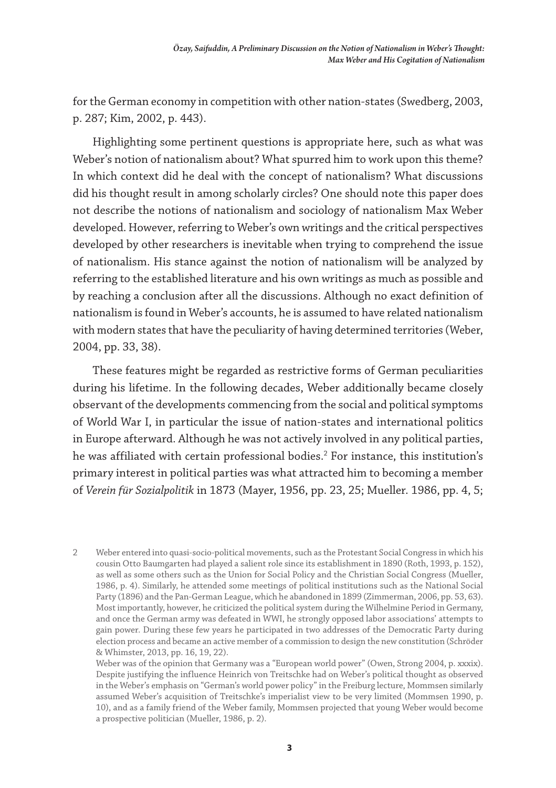for the German economy in competition with other nation-states (Swedberg, 2003, p. 287; Kim, 2002, p. 443).

Highlighting some pertinent questions is appropriate here, such as what was Weber's notion of nationalism about? What spurred him to work upon this theme? In which context did he deal with the concept of nationalism? What discussions did his thought result in among scholarly circles? One should note this paper does not describe the notions of nationalism and sociology of nationalism Max Weber developed. However, referring to Weber's own writings and the critical perspectives developed by other researchers is inevitable when trying to comprehend the issue of nationalism. His stance against the notion of nationalism will be analyzed by referring to the established literature and his own writings as much as possible and by reaching a conclusion after all the discussions. Although no exact definition of nationalism is found in Weber's accounts, he is assumed to have related nationalism with modern states that have the peculiarity of having determined territories (Weber, 2004, pp. 33, 38).

These features might be regarded as restrictive forms of German peculiarities during his lifetime. In the following decades, Weber additionally became closely observant of the developments commencing from the social and political symptoms of World War I, in particular the issue of nation-states and international politics in Europe afterward. Although he was not actively involved in any political parties, he was affiliated with certain professional bodies. $^2$  For instance, this institution's primary interest in political parties was what attracted him to becoming a member of *Verein für Sozialpolitik* in 1873 (Mayer, 1956, pp. 23, 25; Mueller. 1986, pp. 4, 5;

2 Weber entered into quasi-socio-political movements, such as the Protestant Social Congress in which his cousin Otto Baumgarten had played a salient role since its establishment in 1890 (Roth, 1993, p. 152), as well as some others such as the Union for Social Policy and the Christian Social Congress (Mueller, 1986, p. 4). Similarly, he attended some meetings of political institutions such as the National Social Party (1896) and the Pan-German League, which he abandoned in 1899 (Zimmerman, 2006, pp. 53, 63). Most importantly, however, he criticized the political system during the Wilhelmine Period in Germany, and once the German army was defeated in WWI, he strongly opposed labor associations' attempts to gain power. During these few years he participated in two addresses of the Democratic Party during election process and became an active member of a commission to design the new constitution (Schröder & Whimster, 2013, pp. 16, 19, 22).

Weber was of the opinion that Germany was a "European world power" (Owen, Strong 2004, p. xxxix). Despite justifying the influence Heinrich von Treitschke had on Weber's political thought as observed in the Weber's emphasis on "German's world power policy" in the Freiburg lecture, Mommsen similarly assumed Weber's acquisition of Treitschke's imperialist view to be very limited (Mommsen 1990, p. 10), and as a family friend of the Weber family, Mommsen projected that young Weber would become a prospective politician (Mueller, 1986, p. 2).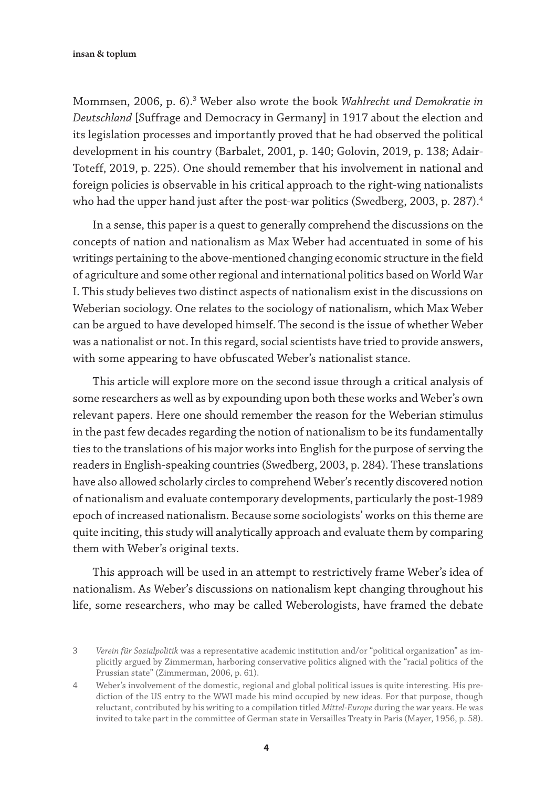Mommsen, 2006, p. 6).3 Weber also wrote the book *Wahlrecht und Demokratie in Deutschland* [Suffrage and Democracy in Germany] in 1917 about the election and its legislation processes and importantly proved that he had observed the political development in his country (Barbalet, 2001, p. 140; Golovin, 2019, p. 138; Adair-Toteff, 2019, p. 225). One should remember that his involvement in national and foreign policies is observable in his critical approach to the right-wing nationalists who had the upper hand just after the post-war politics (Swedberg, 2003, p. 287).<sup>4</sup>

In a sense, this paper is a quest to generally comprehend the discussions on the concepts of nation and nationalism as Max Weber had accentuated in some of his writings pertaining to the above-mentioned changing economic structure in the field of agriculture and some other regional and international politics based on World War I. This study believes two distinct aspects of nationalism exist in the discussions on Weberian sociology. One relates to the sociology of nationalism, which Max Weber can be argued to have developed himself. The second is the issue of whether Weber was a nationalist or not. In this regard, social scientists have tried to provide answers, with some appearing to have obfuscated Weber's nationalist stance.

This article will explore more on the second issue through a critical analysis of some researchers as well as by expounding upon both these works and Weber's own relevant papers. Here one should remember the reason for the Weberian stimulus in the past few decades regarding the notion of nationalism to be its fundamentally ties to the translations of his major works into English for the purpose of serving the readers in English-speaking countries (Swedberg, 2003, p. 284). These translations have also allowed scholarly circles to comprehend Weber's recently discovered notion of nationalism and evaluate contemporary developments, particularly the post-1989 epoch of increased nationalism. Because some sociologists' works on this theme are quite inciting, this study will analytically approach and evaluate them by comparing them with Weber's original texts.

This approach will be used in an attempt to restrictively frame Weber's idea of nationalism. As Weber's discussions on nationalism kept changing throughout his life, some researchers, who may be called Weberologists, have framed the debate

<sup>3</sup> *Verein für Sozialpolitik* was a representative academic institution and/or "political organization" as implicitly argued by Zimmerman, harboring conservative politics aligned with the "racial politics of the Prussian state" (Zimmerman, 2006, p. 61).

<sup>4</sup> Weber's involvement of the domestic, regional and global political issues is quite interesting. His prediction of the US entry to the WWI made his mind occupied by new ideas. For that purpose, though reluctant, contributed by his writing to a compilation titled *Mittel-Europe* during the war years. He was invited to take part in the committee of German state in Versailles Treaty in Paris (Mayer, 1956, p. 58).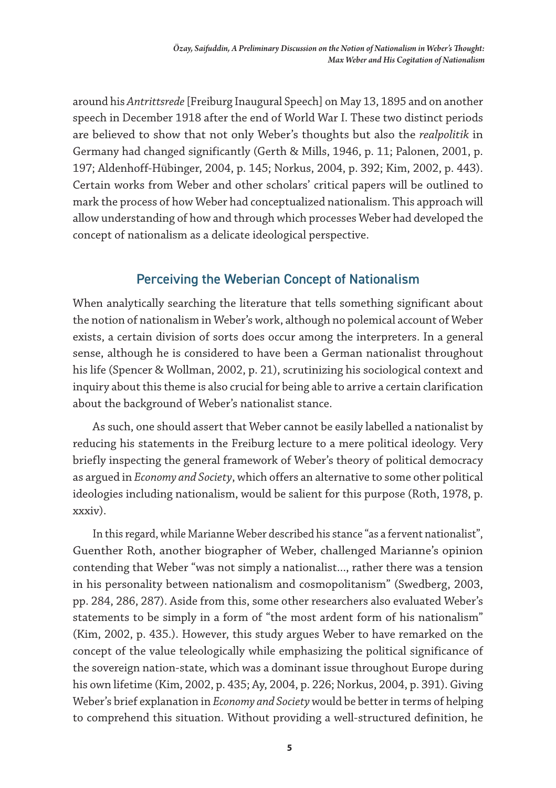around his *Antrittsrede* [Freiburg Inaugural Speech] on May 13, 1895 and on another speech in December 1918 after the end of World War I. These two distinct periods are believed to show that not only Weber's thoughts but also the *realpolitik* in Germany had changed significantly (Gerth & Mills, 1946, p. 11; Palonen, 2001, p. 197; Aldenhoff-Hübinger, 2004, p. 145; Norkus, 2004, p. 392; Kim, 2002, p. 443). Certain works from Weber and other scholars' critical papers will be outlined to mark the process of how Weber had conceptualized nationalism. This approach will allow understanding of how and through which processes Weber had developed the concept of nationalism as a delicate ideological perspective.

# Perceiving the Weberian Concept of Nationalism

When analytically searching the literature that tells something significant about the notion of nationalism in Weber's work, although no polemical account of Weber exists, a certain division of sorts does occur among the interpreters. In a general sense, although he is considered to have been a German nationalist throughout his life (Spencer & Wollman, 2002, p. 21), scrutinizing his sociological context and inquiry about this theme is also crucial for being able to arrive a certain clarification about the background of Weber's nationalist stance.

As such, one should assert that Weber cannot be easily labelled a nationalist by reducing his statements in the Freiburg lecture to a mere political ideology. Very briefly inspecting the general framework of Weber's theory of political democracy as argued in *Economy and Society*, which offers an alternative to some other political ideologies including nationalism, would be salient for this purpose (Roth, 1978, p. xxxiv).

In this regard, while Marianne Weber described his stance "as a fervent nationalist", Guenther Roth, another biographer of Weber, challenged Marianne's opinion contending that Weber "was not simply a nationalist..., rather there was a tension in his personality between nationalism and cosmopolitanism" (Swedberg, 2003, pp. 284, 286, 287). Aside from this, some other researchers also evaluated Weber's statements to be simply in a form of "the most ardent form of his nationalism" (Kim, 2002, p. 435.). However, this study argues Weber to have remarked on the concept of the value teleologically while emphasizing the political significance of the sovereign nation-state, which was a dominant issue throughout Europe during his own lifetime (Kim, 2002, p. 435; Ay, 2004, p. 226; Norkus, 2004, p. 391). Giving Weber's brief explanation in *Economy and Society* would be better in terms of helping to comprehend this situation. Without providing a well-structured definition, he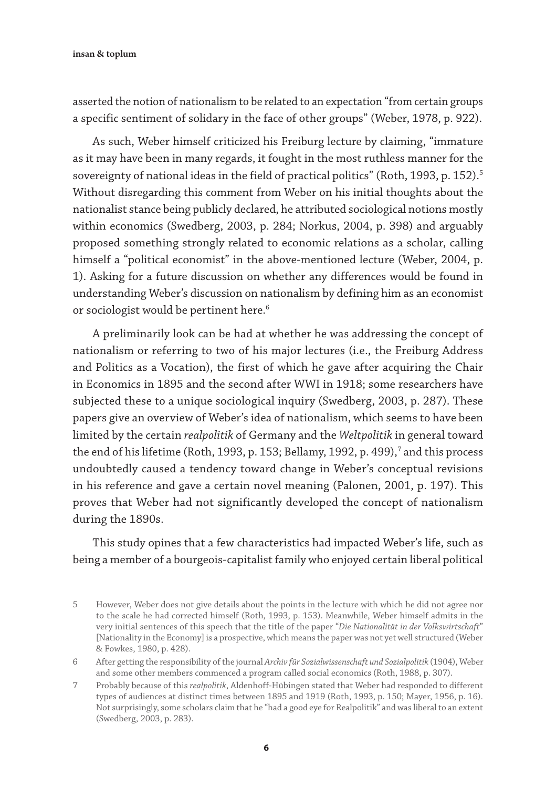asserted the notion of nationalism to be related to an expectation "from certain groups a specific sentiment of solidary in the face of other groups" (Weber, 1978, p. 922).

As such, Weber himself criticized his Freiburg lecture by claiming, "immature as it may have been in many regards, it fought in the most ruthless manner for the sovereignty of national ideas in the field of practical politics" (Roth, 1993, p. 152).<sup>5</sup> Without disregarding this comment from Weber on his initial thoughts about the nationalist stance being publicly declared, he attributed sociological notions mostly within economics (Swedberg, 2003, p. 284; Norkus, 2004, p. 398) and arguably proposed something strongly related to economic relations as a scholar, calling himself a "political economist" in the above-mentioned lecture (Weber, 2004, p. 1). Asking for a future discussion on whether any differences would be found in understanding Weber's discussion on nationalism by defining him as an economist or sociologist would be pertinent here.<sup>6</sup>

A preliminarily look can be had at whether he was addressing the concept of nationalism or referring to two of his major lectures (i.e., the Freiburg Address and Politics as a Vocation), the first of which he gave after acquiring the Chair in Economics in 1895 and the second after WWI in 1918; some researchers have subjected these to a unique sociological inquiry (Swedberg, 2003, p. 287). These papers give an overview of Weber's idea of nationalism, which seems to have been limited by the certain *realpolitik* of Germany and the *Weltpolitik* in general toward the end of his lifetime (Roth, 1993, p. 153; Bellamy, 1992, p. 499), $^7$  and this process undoubtedly caused a tendency toward change in Weber's conceptual revisions in his reference and gave a certain novel meaning (Palonen, 2001, p. 197). This proves that Weber had not significantly developed the concept of nationalism during the 1890s.

This study opines that a few characteristics had impacted Weber's life, such as being a member of a bourgeois-capitalist family who enjoyed certain liberal political

<sup>5</sup> However, Weber does not give details about the points in the lecture with which he did not agree nor to the scale he had corrected himself (Roth, 1993, p. 153). Meanwhile, Weber himself admits in the very initial sentences of this speech that the title of the paper "*Die Nationalität in der Volkswirtschaft*" [Nationality in the Economy] is a prospective, which means the paper was not yet well structured (Weber & Fowkes, 1980, p. 428).

<sup>6</sup> After getting the responsibility of the journal *Archiv für Sozialwissenschaft und Sozialpolitik* (1904), Weber and some other members commenced a program called social economics (Roth, 1988, p. 307).

<sup>7</sup> Probably because of this *realpolitik*, Aldenhoff-Hübingen stated that Weber had responded to different types of audiences at distinct times between 1895 and 1919 (Roth, 1993, p. 150; Mayer, 1956, p. 16). Not surprisingly, some scholars claim that he "had a good eye for Realpolitik" and was liberal to an extent (Swedberg, 2003, p. 283).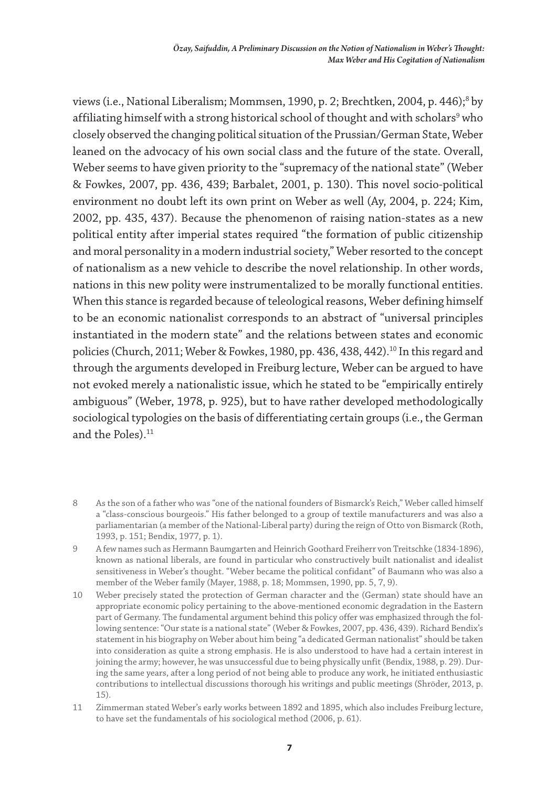views (i.e., National Liberalism; Mommsen, 1990, p. 2; Brechtken, 2004, p. 446);<sup>8</sup> by affiliating himself with a strong historical school of thought and with scholars<sup>9</sup> who closely observed the changing political situation of the Prussian/German State, Weber leaned on the advocacy of his own social class and the future of the state. Overall, Weber seems to have given priority to the "supremacy of the national state" (Weber & Fowkes, 2007, pp. 436, 439; Barbalet, 2001, p. 130). This novel socio-political environment no doubt left its own print on Weber as well (Ay, 2004, p. 224; Kim, 2002, pp. 435, 437). Because the phenomenon of raising nation-states as a new political entity after imperial states required "the formation of public citizenship and moral personality in a modern industrial society," Weber resorted to the concept of nationalism as a new vehicle to describe the novel relationship. In other words, nations in this new polity were instrumentalized to be morally functional entities. When this stance is regarded because of teleological reasons, Weber defining himself to be an economic nationalist corresponds to an abstract of "universal principles instantiated in the modern state" and the relations between states and economic policies (Church, 2011; Weber & Fowkes, 1980, pp. 436, 438, 442).<sup>10</sup> In this regard and through the arguments developed in Freiburg lecture, Weber can be argued to have not evoked merely a nationalistic issue, which he stated to be "empirically entirely ambiguous" (Weber, 1978, p. 925), but to have rather developed methodologically sociological typologies on the basis of differentiating certain groups (i.e., the German and the Poles).<sup>11</sup>

<sup>8</sup> As the son of a father who was "one of the national founders of Bismarck's Reich," Weber called himself a "class-conscious bourgeois." His father belonged to a group of textile manufacturers and was also a parliamentarian (a member of the National-Liberal party) during the reign of Otto von Bismarck (Roth, 1993, p. 151; Bendix, 1977, p. 1).

<sup>9</sup> A few names such as Hermann Baumgarten and Heinrich Goothard Freiherr von Treitschke (1834-1896), known as national liberals, are found in particular who constructively built nationalist and idealist sensitiveness in Weber's thought. "Weber became the political confidant" of Baumann who was also a member of the Weber family (Mayer, 1988, p. 18; Mommsen, 1990, pp. 5, 7, 9).

<sup>10</sup> Weber precisely stated the protection of German character and the (German) state should have an appropriate economic policy pertaining to the above-mentioned economic degradation in the Eastern part of Germany. The fundamental argument behind this policy offer was emphasized through the following sentence: "Our state is a national state" (Weber & Fowkes, 2007, pp. 436, 439). Richard Bendix's statement in his biography on Weber about him being "a dedicated German nationalist" should be taken into consideration as quite a strong emphasis. He is also understood to have had a certain interest in joining the army; however, he was unsuccessful due to being physically unfit (Bendix, 1988, p. 29). During the same years, after a long period of not being able to produce any work, he initiated enthusiastic contributions to intellectual discussions thorough his writings and public meetings (Shröder, 2013, p. 15).

<sup>11</sup> Zimmerman stated Weber's early works between 1892 and 1895, which also includes Freiburg lecture, to have set the fundamentals of his sociological method (2006, p. 61).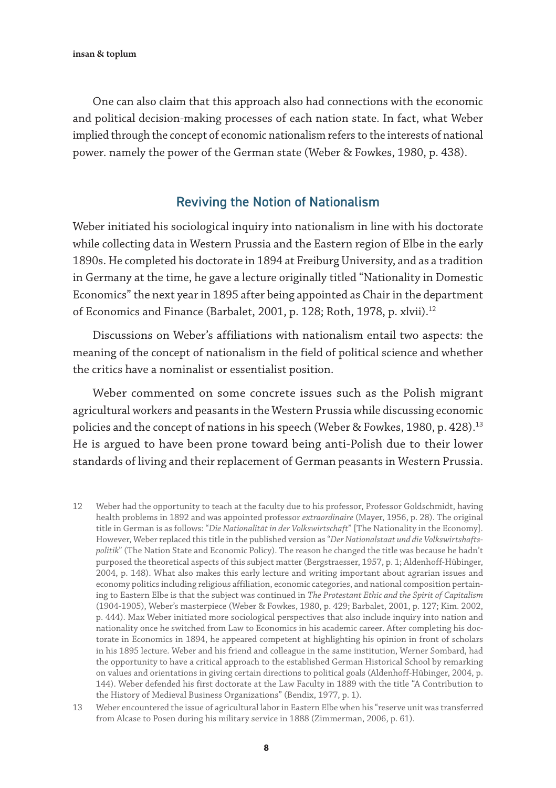One can also claim that this approach also had connections with the economic and political decision-making processes of each nation state. In fact, what Weber implied through the concept of economic nationalism refers to the interests of national power. namely the power of the German state (Weber & Fowkes, 1980, p. 438).

### Reviving the Notion of Nationalism

Weber initiated his sociological inquiry into nationalism in line with his doctorate while collecting data in Western Prussia and the Eastern region of Elbe in the early 1890s. He completed his doctorate in 1894 at Freiburg University, and as a tradition in Germany at the time, he gave a lecture originally titled "Nationality in Domestic Economics" the next year in 1895 after being appointed as Chair in the department of Economics and Finance (Barbalet, 2001, p. 128; Roth, 1978, p. xlvii).<sup>12</sup>

Discussions on Weber's affiliations with nationalism entail two aspects: the meaning of the concept of nationalism in the field of political science and whether the critics have a nominalist or essentialist position.

Weber commented on some concrete issues such as the Polish migrant agricultural workers and peasants in the Western Prussia while discussing economic policies and the concept of nations in his speech (Weber & Fowkes, 1980, p. 428).13 He is argued to have been prone toward being anti-Polish due to their lower standards of living and their replacement of German peasants in Western Prussia.

12 Weber had the opportunity to teach at the faculty due to his professor, Professor Goldschmidt, having health problems in 1892 and was appointed professor *extraordinaire* (Mayer, 1956, p. 28). The original title in German is as follows: "*Die Nationalität in der Volkswirtschaft*" [The Nationality in the Economy]. However, Weber replaced this title in the published version as "*Der Nationalstaat und die Volkswirtshaftspolitik*" (The Nation State and Economic Policy). The reason he changed the title was because he hadn't purposed the theoretical aspects of this subject matter (Bergstraesser, 1957, p. 1; Aldenhoff-Hübinger, 2004, p. 148). What also makes this early lecture and writing important about agrarian issues and economy politics including religious affiliation, economic categories, and national composition pertaining to Eastern Elbe is that the subject was continued in *The Protestant Ethic and the Spirit of Capitalism* (1904-1905), Weber's masterpiece (Weber & Fowkes, 1980, p. 429; Barbalet, 2001, p. 127; Kim. 2002, p. 444). Max Weber initiated more sociological perspectives that also include inquiry into nation and nationality once he switched from Law to Economics in his academic career. After completing his doctorate in Economics in 1894, he appeared competent at highlighting his opinion in front of scholars in his 1895 lecture. Weber and his friend and colleague in the same institution, Werner Sombard, had the opportunity to have a critical approach to the established German Historical School by remarking on values and orientations in giving certain directions to political goals (Aldenhoff-Hübinger, 2004, p. 144). Weber defended his first doctorate at the Law Faculty in 1889 with the title "A Contribution to the History of Medieval Business Organizations" (Bendix, 1977, p. 1).

13 Weber encountered the issue of agricultural labor in Eastern Elbe when his "reserve unit was transferred from Alcase to Posen during his military service in 1888 (Zimmerman, 2006, p. 61).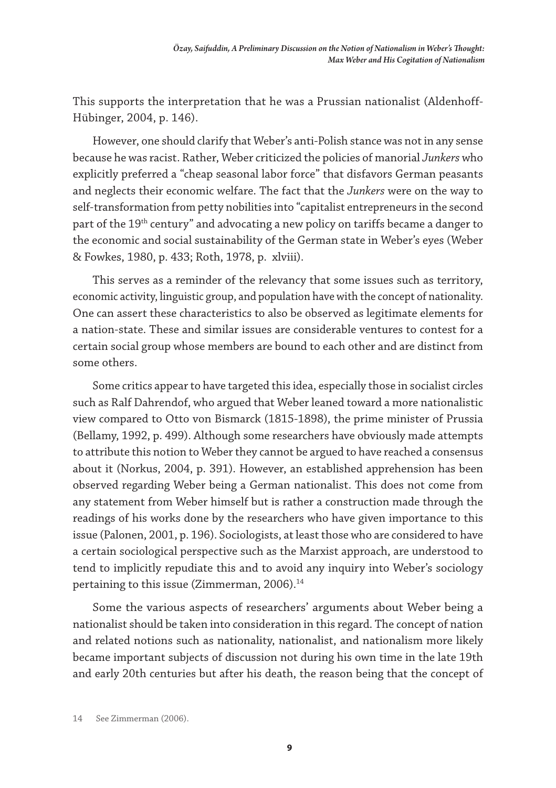This supports the interpretation that he was a Prussian nationalist (Aldenhoff-Hübinger, 2004, p. 146).

However, one should clarify that Weber's anti-Polish stance was not in any sense because he was racist. Rather, Weber criticized the policies of manorial *Junkers* who explicitly preferred a "cheap seasonal labor force" that disfavors German peasants and neglects their economic welfare. The fact that the *Junkers* were on the way to self-transformation from petty nobilities into "capitalist entrepreneurs in the second part of the 19<sup>th</sup> century" and advocating a new policy on tariffs became a danger to the economic and social sustainability of the German state in Weber's eyes (Weber & Fowkes, 1980, p. 433; Roth, 1978, p. xlviii).

This serves as a reminder of the relevancy that some issues such as territory, economic activity, linguistic group, and population have with the concept of nationality. One can assert these characteristics to also be observed as legitimate elements for a nation-state. These and similar issues are considerable ventures to contest for a certain social group whose members are bound to each other and are distinct from some others.

Some critics appear to have targeted this idea, especially those in socialist circles such as Ralf Dahrendof, who argued that Weber leaned toward a more nationalistic view compared to Otto von Bismarck (1815-1898), the prime minister of Prussia (Bellamy, 1992, p. 499). Although some researchers have obviously made attempts to attribute this notion to Weber they cannot be argued to have reached a consensus about it (Norkus, 2004, p. 391). However, an established apprehension has been observed regarding Weber being a German nationalist. This does not come from any statement from Weber himself but is rather a construction made through the readings of his works done by the researchers who have given importance to this issue (Palonen, 2001, p. 196). Sociologists, at least those who are considered to have a certain sociological perspective such as the Marxist approach, are understood to tend to implicitly repudiate this and to avoid any inquiry into Weber's sociology pertaining to this issue (Zimmerman, 2006).<sup>14</sup>

Some the various aspects of researchers' arguments about Weber being a nationalist should be taken into consideration in this regard. The concept of nation and related notions such as nationality, nationalist, and nationalism more likely became important subjects of discussion not during his own time in the late 19th and early 20th centuries but after his death, the reason being that the concept of

<sup>14</sup> See Zimmerman (2006).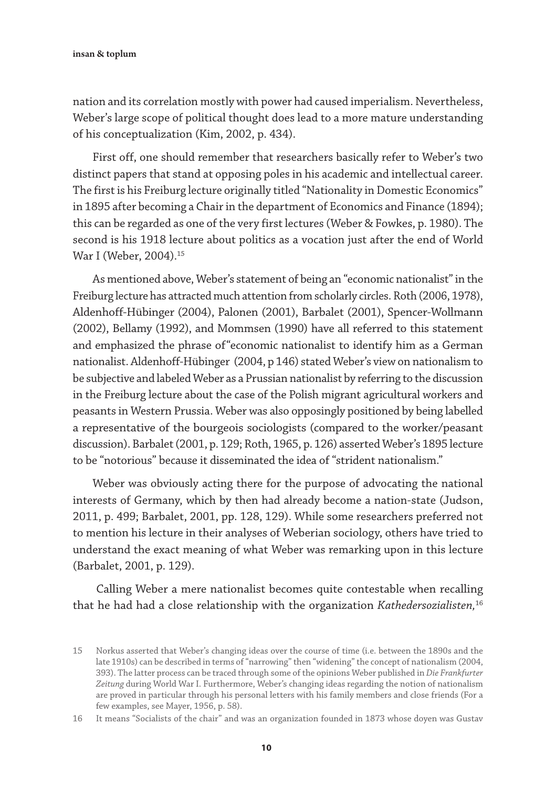nation and its correlation mostly with power had caused imperialism. Nevertheless, Weber's large scope of political thought does lead to a more mature understanding of his conceptualization (Kim, 2002, p. 434).

First off, one should remember that researchers basically refer to Weber's two distinct papers that stand at opposing poles in his academic and intellectual career. The first is his Freiburg lecture originally titled "Nationality in Domestic Economics" in 1895 after becoming a Chair in the department of Economics and Finance (1894); this can be regarded as one of the very first lectures (Weber & Fowkes, p. 1980). The second is his 1918 lecture about politics as a vocation just after the end of World War I (Weber, 2004).<sup>15</sup>

As mentioned above, Weber's statement of being an "economic nationalist" in the Freiburg lecture has attracted much attention from scholarly circles. Roth (2006, 1978), Aldenhoff-Hübinger (2004), Palonen (2001), Barbalet (2001), Spencer-Wollmann (2002), Bellamy (1992), and Mommsen (1990) have all referred to this statement and emphasized the phrase of"economic nationalist to identify him as a German nationalist. Aldenhoff-Hübinger (2004, p 146) stated Weber's view on nationalism to be subjective and labeled Weber as a Prussian nationalist by referring to the discussion in the Freiburg lecture about the case of the Polish migrant agricultural workers and peasants in Western Prussia. Weber was also opposingly positioned by being labelled a representative of the bourgeois sociologists (compared to the worker/peasant discussion). Barbalet (2001, p. 129; Roth, 1965, p. 126) asserted Weber's 1895 lecture to be "notorious" because it disseminated the idea of "strident nationalism."

Weber was obviously acting there for the purpose of advocating the national interests of Germany, which by then had already become a nation-state (Judson, 2011, p. 499; Barbalet, 2001, pp. 128, 129). While some researchers preferred not to mention his lecture in their analyses of Weberian sociology, others have tried to understand the exact meaning of what Weber was remarking upon in this lecture (Barbalet, 2001, p. 129).

 Calling Weber a mere nationalist becomes quite contestable when recalling that he had had a close relationship with the organization *Kathedersozialisten,*<sup>16</sup>

<sup>15</sup> Norkus asserted that Weber's changing ideas over the course of time (i.e. between the 1890s and the late 1910s) can be described in terms of "narrowing" then "widening" the concept of nationalism (2004, 393). The latter process can be traced through some of the opinions Weber published in *Die Frankfurter Zeitung* during World War I. Furthermore, Weber's changing ideas regarding the notion of nationalism are proved in particular through his personal letters with his family members and close friends (For a few examples, see Mayer, 1956, p. 58).

<sup>16</sup> It means "Socialists of the chair" and was an organization founded in 1873 whose doyen was Gustav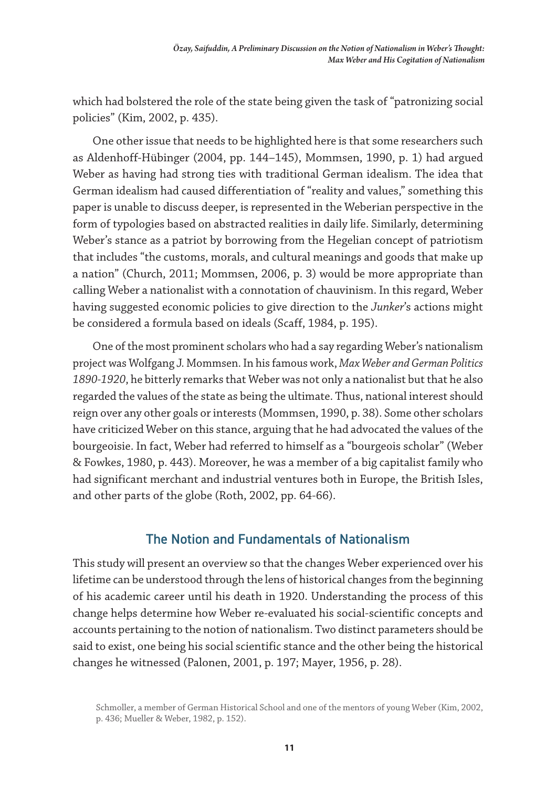which had bolstered the role of the state being given the task of "patronizing social policies" (Kim, 2002, p. 435).

One other issue that needs to be highlighted here is that some researchers such as Aldenhoff-Hübinger (2004, pp. 144–145), Mommsen, 1990, p. 1) had argued Weber as having had strong ties with traditional German idealism. The idea that German idealism had caused differentiation of "reality and values," something this paper is unable to discuss deeper, is represented in the Weberian perspective in the form of typologies based on abstracted realities in daily life. Similarly, determining Weber's stance as a patriot by borrowing from the Hegelian concept of patriotism that includes "the customs, morals, and cultural meanings and goods that make up a nation" (Church, 2011; Mommsen, 2006, p. 3) would be more appropriate than calling Weber a nationalist with a connotation of chauvinism. In this regard, Weber having suggested economic policies to give direction to the *Junker*'s actions might be considered a formula based on ideals (Scaff, 1984, p. 195).

One of the most prominent scholars who had a say regarding Weber's nationalism project was Wolfgang J. Mommsen. In his famous work, *Max Weber and German Politics 1890-1920*, he bitterly remarks that Weber was not only a nationalist but that he also regarded the values of the state as being the ultimate. Thus, national interest should reign over any other goals or interests (Mommsen, 1990, p. 38). Some other scholars have criticized Weber on this stance, arguing that he had advocated the values of the bourgeoisie. In fact, Weber had referred to himself as a "bourgeois scholar" (Weber & Fowkes, 1980, p. 443). Moreover, he was a member of a big capitalist family who had significant merchant and industrial ventures both in Europe, the British Isles, and other parts of the globe (Roth, 2002, pp. 64-66).

# The Notion and Fundamentals of Nationalism

This study will present an overview so that the changes Weber experienced over his lifetime can be understood through the lens of historical changes from the beginning of his academic career until his death in 1920. Understanding the process of this change helps determine how Weber re-evaluated his social-scientific concepts and accounts pertaining to the notion of nationalism. Two distinct parameters should be said to exist, one being his social scientific stance and the other being the historical changes he witnessed (Palonen, 2001, p. 197; Mayer, 1956, p. 28).

Schmoller, a member of German Historical School and one of the mentors of young Weber (Kim, 2002, p. 436; Mueller & Weber, 1982, p. 152).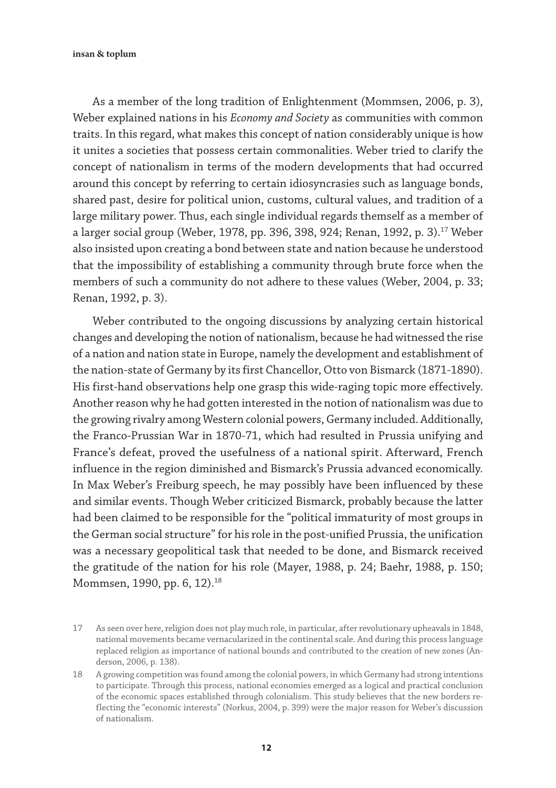As a member of the long tradition of Enlightenment (Mommsen, 2006, p. 3), Weber explained nations in his *Economy and Society* as communities with common traits. In this regard, what makes this concept of nation considerably unique is how it unites a societies that possess certain commonalities. Weber tried to clarify the concept of nationalism in terms of the modern developments that had occurred around this concept by referring to certain idiosyncrasies such as language bonds, shared past, desire for political union, customs, cultural values, and tradition of a large military power. Thus, each single individual regards themself as a member of a larger social group (Weber, 1978, pp. 396, 398, 924; Renan, 1992, p. 3).<sup>17</sup> Weber also insisted upon creating a bond between state and nation because he understood that the impossibility of establishing a community through brute force when the members of such a community do not adhere to these values (Weber, 2004, p. 33; Renan, 1992, p. 3).

Weber contributed to the ongoing discussions by analyzing certain historical changes and developing the notion of nationalism, because he had witnessed the rise of a nation and nation state in Europe, namely the development and establishment of the nation-state of Germany by its first Chancellor, Otto von Bismarck (1871-1890). His first-hand observations help one grasp this wide-raging topic more effectively. Another reason why he had gotten interested in the notion of nationalism was due to the growing rivalry among Western colonial powers, Germany included. Additionally, the Franco-Prussian War in 1870-71, which had resulted in Prussia unifying and France's defeat, proved the usefulness of a national spirit. Afterward, French influence in the region diminished and Bismarck's Prussia advanced economically. In Max Weber's Freiburg speech, he may possibly have been influenced by these and similar events. Though Weber criticized Bismarck, probably because the latter had been claimed to be responsible for the "political immaturity of most groups in the German social structure" for his role in the post-unified Prussia, the unification was a necessary geopolitical task that needed to be done, and Bismarck received the gratitude of the nation for his role (Mayer, 1988, p. 24; Baehr, 1988, p. 150; Mommsen, 1990, pp. 6, 12).<sup>18</sup>

<sup>17</sup> As seen over here, religion does not play much role, in particular, after revolutionary upheavals in 1848, national movements became vernacularized in the continental scale. And during this process language replaced religion as importance of national bounds and contributed to the creation of new zones (Anderson, 2006, p. 138).

<sup>18</sup> A growing competition was found among the colonial powers, in which Germany had strong intentions to participate. Through this process, national economies emerged as a logical and practical conclusion of the economic spaces established through colonialism. This study believes that the new borders reflecting the "economic interests" (Norkus, 2004, p. 399) were the major reason for Weber's discussion of nationalism.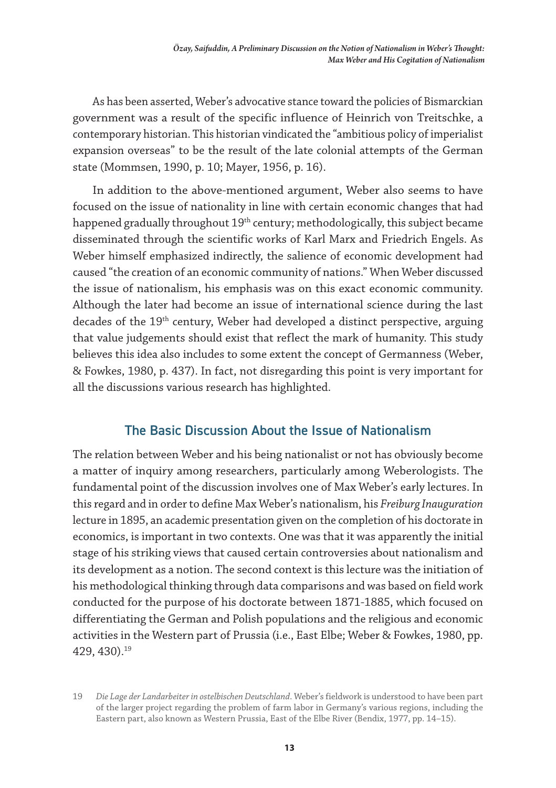As has been asserted, Weber's advocative stance toward the policies of Bismarckian government was a result of the specific influence of Heinrich von Treitschke, a contemporary historian. This historian vindicated the "ambitious policy of imperialist expansion overseas" to be the result of the late colonial attempts of the German state (Mommsen, 1990, p. 10; Mayer, 1956, p. 16).

In addition to the above-mentioned argument, Weber also seems to have focused on the issue of nationality in line with certain economic changes that had happened gradually throughout 19<sup>th</sup> century; methodologically, this subject became disseminated through the scientific works of Karl Marx and Friedrich Engels. As Weber himself emphasized indirectly, the salience of economic development had caused "the creation of an economic community of nations." When Weber discussed the issue of nationalism, his emphasis was on this exact economic community. Although the later had become an issue of international science during the last decades of the 19<sup>th</sup> century, Weber had developed a distinct perspective, arguing that value judgements should exist that reflect the mark of humanity. This study believes this idea also includes to some extent the concept of Germanness (Weber, & Fowkes, 1980, p. 437). In fact, not disregarding this point is very important for all the discussions various research has highlighted.

# The Basic Discussion About the Issue of Nationalism

The relation between Weber and his being nationalist or not has obviously become a matter of inquiry among researchers, particularly among Weberologists. The fundamental point of the discussion involves one of Max Weber's early lectures. In this regard and in order to define Max Weber's nationalism, his *Freiburg Inauguration* lecture in 1895, an academic presentation given on the completion of his doctorate in economics, is important in two contexts. One was that it was apparently the initial stage of his striking views that caused certain controversies about nationalism and its development as a notion. The second context is this lecture was the initiation of his methodological thinking through data comparisons and was based on field work conducted for the purpose of his doctorate between 1871-1885, which focused on differentiating the German and Polish populations and the religious and economic activities in the Western part of Prussia (i.e., East Elbe; Weber & Fowkes, 1980, pp. 429, 430).19

<sup>19</sup> *Die Lage der Landarbeiter in ostelbischen Deutschland*. Weber's fieldwork is understood to have been part of the larger project regarding the problem of farm labor in Germany's various regions, including the Eastern part, also known as Western Prussia, East of the Elbe River (Bendix, 1977, pp. 14–15).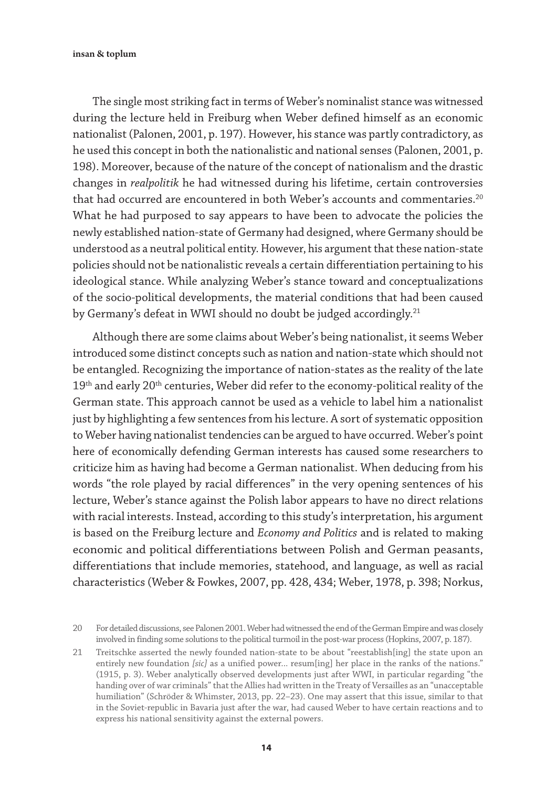The single most striking fact in terms of Weber's nominalist stance was witnessed during the lecture held in Freiburg when Weber defined himself as an economic nationalist (Palonen, 2001, p. 197). However, his stance was partly contradictory, as he used this concept in both the nationalistic and national senses (Palonen, 2001, p. 198). Moreover, because of the nature of the concept of nationalism and the drastic changes in *realpolitik* he had witnessed during his lifetime, certain controversies that had occurred are encountered in both Weber's accounts and commentaries.<sup>20</sup> What he had purposed to say appears to have been to advocate the policies the newly established nation-state of Germany had designed, where Germany should be understood as a neutral political entity. However, his argument that these nation-state policies should not be nationalistic reveals a certain differentiation pertaining to his ideological stance. While analyzing Weber's stance toward and conceptualizations of the socio-political developments, the material conditions that had been caused by Germany's defeat in WWI should no doubt be judged accordingly.<sup>21</sup>

Although there are some claims about Weber's being nationalist, it seems Weber introduced some distinct concepts such as nation and nation-state which should not be entangled. Recognizing the importance of nation-states as the reality of the late 19<sup>th</sup> and early 20<sup>th</sup> centuries, Weber did refer to the economy-political reality of the German state. This approach cannot be used as a vehicle to label him a nationalist just by highlighting a few sentences from his lecture. A sort of systematic opposition to Weber having nationalist tendencies can be argued to have occurred. Weber's point here of economically defending German interests has caused some researchers to criticize him as having had become a German nationalist. When deducing from his words "the role played by racial differences" in the very opening sentences of his lecture, Weber's stance against the Polish labor appears to have no direct relations with racial interests. Instead, according to this study's interpretation, his argument is based on the Freiburg lecture and *Economy and Politics* and is related to making economic and political differentiations between Polish and German peasants, differentiations that include memories, statehood, and language, as well as racial characteristics (Weber & Fowkes, 2007, pp. 428, 434; Weber, 1978, p. 398; Norkus,

<sup>20</sup> For detailed discussions, see Palonen 2001. Weber had witnessed the end of the German Empire and was closely involved in finding some solutions to the political turmoil in the post-war process (Hopkins, 2007, p. 187).

<sup>21</sup> Treitschke asserted the newly founded nation-state to be about "reestablish[ing] the state upon an entirely new foundation *[sic]* as a unified power... resum[ing] her place in the ranks of the nations." (1915, p. 3). Weber analytically observed developments just after WWI, in particular regarding "the handing over of war criminals" that the Allies had written in the Treaty of Versailles as an "unacceptable humiliation" (Schröder & Whimster, 2013, pp. 22–23). One may assert that this issue, similar to that in the Soviet-republic in Bavaria just after the war, had caused Weber to have certain reactions and to express his national sensitivity against the external powers.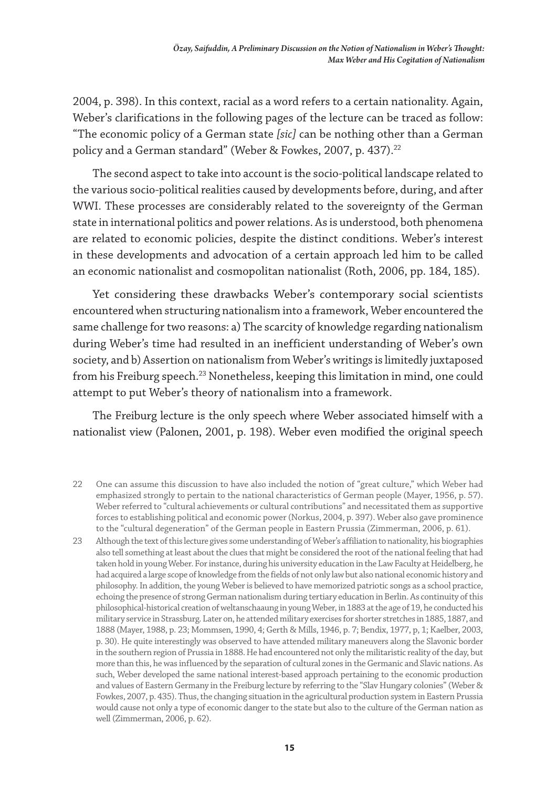2004, p. 398). In this context, racial as a word refers to a certain nationality. Again, Weber's clarifications in the following pages of the lecture can be traced as follow: "The economic policy of a German state *[sic]* can be nothing other than a German policy and a German standard" (Weber & Fowkes, 2007, p. 437).<sup>22</sup>

The second aspect to take into account is the socio-political landscape related to the various socio-political realities caused by developments before, during, and after WWI. These processes are considerably related to the sovereignty of the German state in international politics and power relations. As is understood, both phenomena are related to economic policies, despite the distinct conditions. Weber's interest in these developments and advocation of a certain approach led him to be called an economic nationalist and cosmopolitan nationalist (Roth, 2006, pp. 184, 185).

Yet considering these drawbacks Weber's contemporary social scientists encountered when structuring nationalism into a framework, Weber encountered the same challenge for two reasons: a) The scarcity of knowledge regarding nationalism during Weber's time had resulted in an inefficient understanding of Weber's own society, and b) Assertion on nationalism from Weber's writings is limitedly juxtaposed from his Freiburg speech.<sup>23</sup> Nonetheless, keeping this limitation in mind, one could attempt to put Weber's theory of nationalism into a framework.

The Freiburg lecture is the only speech where Weber associated himself with a nationalist view (Palonen, 2001, p. 198). Weber even modified the original speech

- 22 One can assume this discussion to have also included the notion of "great culture," which Weber had emphasized strongly to pertain to the national characteristics of German people (Mayer, 1956, p. 57). Weber referred to "cultural achievements or cultural contributions" and necessitated them as supportive forces to establishing political and economic power (Norkus, 2004, p. 397). Weber also gave prominence to the "cultural degeneration" of the German people in Eastern Prussia (Zimmerman, 2006, p. 61).
- 23 Although the text of this lecture gives some understanding of Weber's affiliation to nationality, his biographies also tell something at least about the clues that might be considered the root of the national feeling that had taken hold in young Weber. For instance, during his university education in the Law Faculty at Heidelberg, he had acquired a large scope of knowledge from the fields of not only law but also national economic history and philosophy. In addition, the young Weber is believed to have memorized patriotic songs as a school practice, echoing the presence of strong German nationalism during tertiary education in Berlin. As continuity of this philosophical-historical creation of weltanschaaung in young Weber, in 1883 at the age of 19, he conducted his military service in Strassburg. Later on, he attended military exercises for shorter stretches in 1885, 1887, and 1888 (Mayer, 1988, p. 23; Mommsen, 1990, 4; Gerth & Mills, 1946, p. 7; Bendix, 1977, p, 1; Kaelber, 2003, p. 30). He quite interestingly was observed to have attended military maneuvers along the Slavonic border in the southern region of Prussia in 1888. He had encountered not only the militaristic reality of the day, but more than this, he was influenced by the separation of cultural zones in the Germanic and Slavic nations. As such, Weber developed the same national interest-based approach pertaining to the economic production and values of Eastern Germany in the Freiburg lecture by referring to the "Slav Hungary colonies" (Weber & Fowkes, 2007, p. 435). Thus, the changing situation in the agricultural production system in Eastern Prussia would cause not only a type of economic danger to the state but also to the culture of the German nation as well (Zimmerman, 2006, p. 62).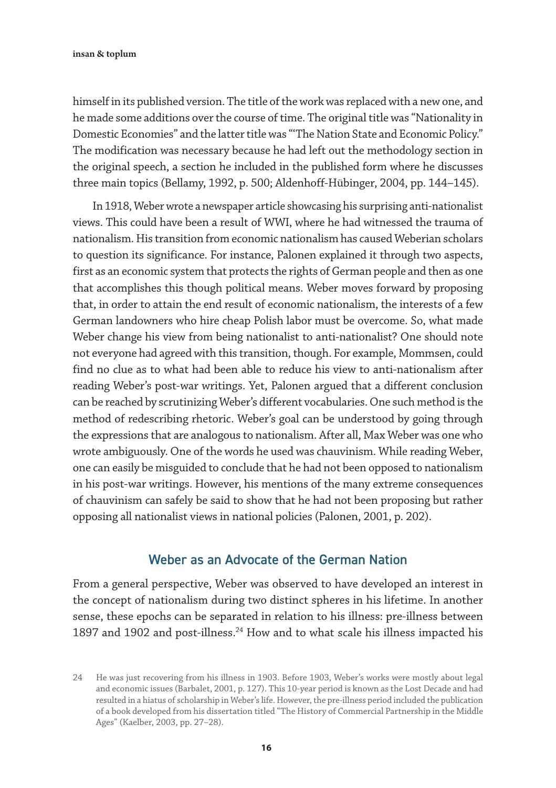himself in its published version. The title of the work was replaced with a new one, and he made some additions over the course of time. The original title was "Nationality in Domestic Economies" and the latter title was "'The Nation State and Economic Policy." The modification was necessary because he had left out the methodology section in the original speech, a section he included in the published form where he discusses three main topics (Bellamy, 1992, p. 500; Aldenhoff-Hübinger, 2004, pp. 144–145).

In 1918, Weber wrote a newspaper article showcasing his surprising anti-nationalist views. This could have been a result of WWI, where he had witnessed the trauma of nationalism. His transition from economic nationalism has caused Weberian scholars to question its significance. For instance, Palonen explained it through two aspects, first as an economic system that protects the rights of German people and then as one that accomplishes this though political means. Weber moves forward by proposing that, in order to attain the end result of economic nationalism, the interests of a few German landowners who hire cheap Polish labor must be overcome. So, what made Weber change his view from being nationalist to anti-nationalist? One should note not everyone had agreed with this transition, though. For example, Mommsen, could find no clue as to what had been able to reduce his view to anti-nationalism after reading Weber's post-war writings. Yet, Palonen argued that a different conclusion can be reached by scrutinizing Weber's different vocabularies. One such method is the method of redescribing rhetoric. Weber's goal can be understood by going through the expressions that are analogous to nationalism. After all, Max Weber was one who wrote ambiguously. One of the words he used was chauvinism. While reading Weber, one can easily be misguided to conclude that he had not been opposed to nationalism in his post-war writings. However, his mentions of the many extreme consequences of chauvinism can safely be said to show that he had not been proposing but rather opposing all nationalist views in national policies (Palonen, 2001, p. 202).

### Weber as an Advocate of the German Nation

From a general perspective, Weber was observed to have developed an interest in the concept of nationalism during two distinct spheres in his lifetime. In another sense, these epochs can be separated in relation to his illness: pre-illness between 1897 and 1902 and post-illness.<sup>24</sup> How and to what scale his illness impacted his

<sup>24</sup> He was just recovering from his illness in 1903. Before 1903, Weber's works were mostly about legal and economic issues (Barbalet, 2001, p. 127). This 10-year period is known as the Lost Decade and had resulted in a hiatus of scholarship in Weber's life. However, the pre-illness period included the publication of a book developed from his dissertation titled "The History of Commercial Partnership in the Middle Ages" (Kaelber, 2003, pp. 27–28).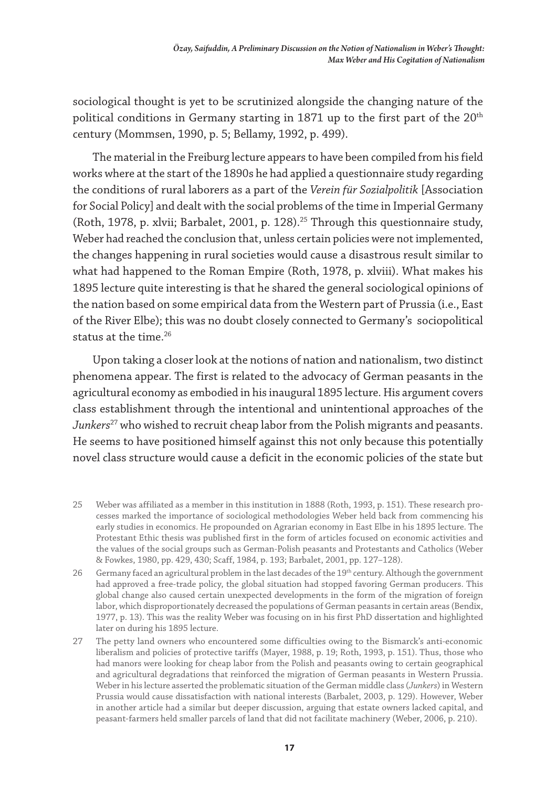sociological thought is yet to be scrutinized alongside the changing nature of the political conditions in Germany starting in 1871 up to the first part of the 20<sup>th</sup> century (Mommsen, 1990, p. 5; Bellamy, 1992, p. 499).

The material in the Freiburg lecture appears to have been compiled from his field works where at the start of the 1890s he had applied a questionnaire study regarding the conditions of rural laborers as a part of the *Verein für Sozialpolitik* [Association for Social Policy] and dealt with the social problems of the time in Imperial Germany (Roth, 1978, p. xlvii; Barbalet, 2001, p. 128).25 Through this questionnaire study, Weber had reached the conclusion that, unless certain policies were not implemented, the changes happening in rural societies would cause a disastrous result similar to what had happened to the Roman Empire (Roth, 1978, p. xlviii). What makes his 1895 lecture quite interesting is that he shared the general sociological opinions of the nation based on some empirical data from the Western part of Prussia (i.e., East of the River Elbe); this was no doubt closely connected to Germany's sociopolitical status at the time.26

Upon taking a closer look at the notions of nation and nationalism, two distinct phenomena appear. The first is related to the advocacy of German peasants in the agricultural economy as embodied in his inaugural 1895 lecture. His argument covers class establishment through the intentional and unintentional approaches of the *Junkers*27 who wished to recruit cheap labor from the Polish migrants and peasants. He seems to have positioned himself against this not only because this potentially novel class structure would cause a deficit in the economic policies of the state but

- 25 Weber was affiliated as a member in this institution in 1888 (Roth, 1993, p. 151). These research processes marked the importance of sociological methodologies Weber held back from commencing his early studies in economics. He propounded on Agrarian economy in East Elbe in his 1895 lecture. The Protestant Ethic thesis was published first in the form of articles focused on economic activities and the values of the social groups such as German-Polish peasants and Protestants and Catholics (Weber & Fowkes, 1980, pp. 429, 430; Scaff, 1984, p. 193; Barbalet, 2001, pp. 127–128).
- 26 Germany faced an agricultural problem in the last decades of the 19<sup>th</sup> century. Although the government had approved a free-trade policy, the global situation had stopped favoring German producers. This global change also caused certain unexpected developments in the form of the migration of foreign labor, which disproportionately decreased the populations of German peasants in certain areas (Bendix, 1977, p. 13). This was the reality Weber was focusing on in his first PhD dissertation and highlighted later on during his 1895 lecture.
- 27 The petty land owners who encountered some difficulties owing to the Bismarck's anti-economic liberalism and policies of protective tariffs (Mayer, 1988, p. 19; Roth, 1993, p. 151). Thus, those who had manors were looking for cheap labor from the Polish and peasants owing to certain geographical and agricultural degradations that reinforced the migration of German peasants in Western Prussia. Weber in his lecture asserted the problematic situation of the German middle class (*Junkers*) in Western Prussia would cause dissatisfaction with national interests (Barbalet, 2003, p. 129). However, Weber in another article had a similar but deeper discussion, arguing that estate owners lacked capital, and peasant-farmers held smaller parcels of land that did not facilitate machinery (Weber, 2006, p. 210).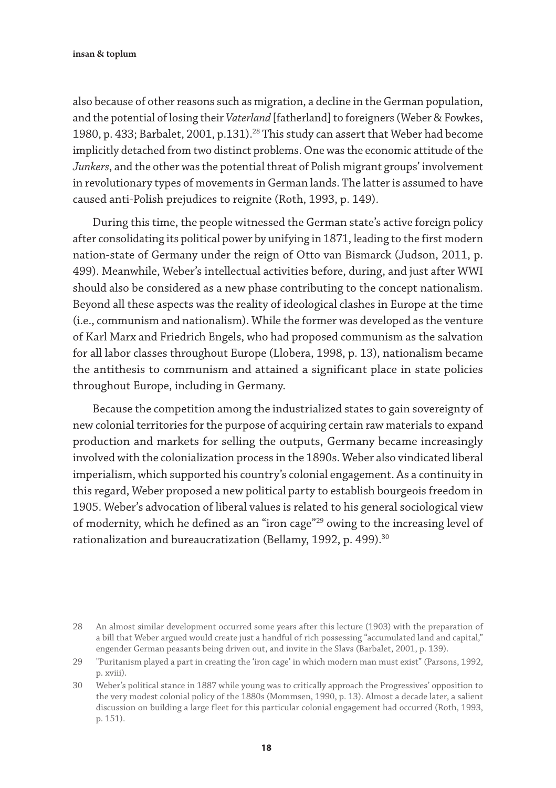also because of other reasons such as migration, a decline in the German population, and the potential of losing their *Vaterland* [fatherland] to foreigners (Weber & Fowkes, 1980, p. 433; Barbalet, 2001, p.131).<sup>28</sup> This study can assert that Weber had become implicitly detached from two distinct problems. One was the economic attitude of the *Junkers*, and the other was the potential threat of Polish migrant groups' involvement in revolutionary types of movements in German lands. The latter is assumed to have caused anti-Polish prejudices to reignite (Roth, 1993, p. 149).

During this time, the people witnessed the German state's active foreign policy after consolidating its political power by unifying in 1871, leading to the first modern nation-state of Germany under the reign of Otto van Bismarck (Judson, 2011, p. 499). Meanwhile, Weber's intellectual activities before, during, and just after WWI should also be considered as a new phase contributing to the concept nationalism. Beyond all these aspects was the reality of ideological clashes in Europe at the time (i.e., communism and nationalism). While the former was developed as the venture of Karl Marx and Friedrich Engels, who had proposed communism as the salvation for all labor classes throughout Europe (Llobera, 1998, p. 13), nationalism became the antithesis to communism and attained a significant place in state policies throughout Europe, including in Germany.

Because the competition among the industrialized states to gain sovereignty of new colonial territories for the purpose of acquiring certain raw materials to expand production and markets for selling the outputs, Germany became increasingly involved with the colonialization process in the 1890s. Weber also vindicated liberal imperialism, which supported his country's colonial engagement. As a continuity in this regard, Weber proposed a new political party to establish bourgeois freedom in 1905. Weber's advocation of liberal values is related to his general sociological view of modernity, which he defined as an "iron cage"29 owing to the increasing level of rationalization and bureaucratization (Bellamy, 1992, p. 499).<sup>30</sup>

<sup>28</sup> An almost similar development occurred some years after this lecture (1903) with the preparation of a bill that Weber argued would create just a handful of rich possessing "accumulated land and capital," engender German peasants being driven out, and invite in the Slavs (Barbalet, 2001, p. 139).

<sup>29</sup> "Puritanism played a part in creating the 'iron cage' in which modern man must exist" (Parsons, 1992, p. xviii).

<sup>30</sup> Weber's political stance in 1887 while young was to critically approach the Progressives' opposition to the very modest colonial policy of the 1880s (Mommsen, 1990, p. 13). Almost a decade later, a salient discussion on building a large fleet for this particular colonial engagement had occurred (Roth, 1993, p. 151).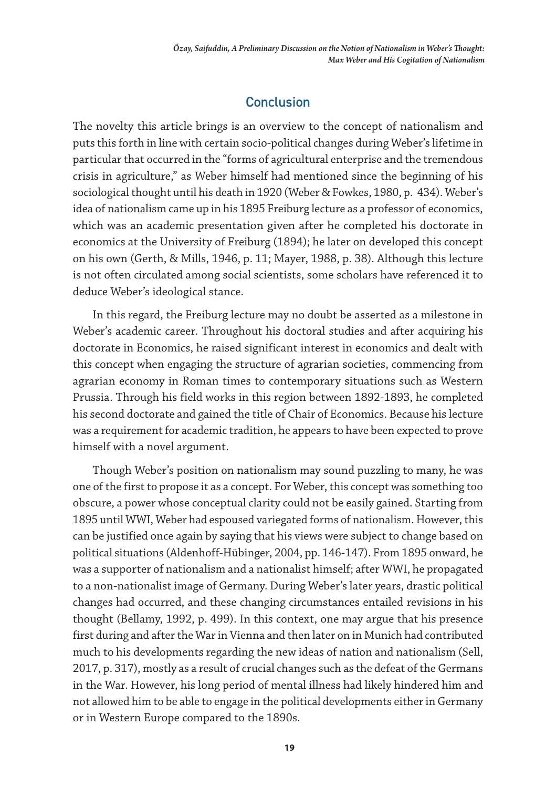# **Conclusion**

The novelty this article brings is an overview to the concept of nationalism and puts this forth in line with certain socio-political changes during Weber's lifetime in particular that occurred in the "forms of agricultural enterprise and the tremendous crisis in agriculture," as Weber himself had mentioned since the beginning of his sociological thought until his death in 1920 (Weber & Fowkes, 1980, p. 434). Weber's idea of nationalism came up in his 1895 Freiburg lecture as a professor of economics, which was an academic presentation given after he completed his doctorate in economics at the University of Freiburg (1894); he later on developed this concept on his own (Gerth, & Mills, 1946, p. 11; Mayer, 1988, p. 38). Although this lecture is not often circulated among social scientists, some scholars have referenced it to deduce Weber's ideological stance.

In this regard, the Freiburg lecture may no doubt be asserted as a milestone in Weber's academic career. Throughout his doctoral studies and after acquiring his doctorate in Economics, he raised significant interest in economics and dealt with this concept when engaging the structure of agrarian societies, commencing from agrarian economy in Roman times to contemporary situations such as Western Prussia. Through his field works in this region between 1892-1893, he completed his second doctorate and gained the title of Chair of Economics. Because his lecture was a requirement for academic tradition, he appears to have been expected to prove himself with a novel argument.

Though Weber's position on nationalism may sound puzzling to many, he was one of the first to propose it as a concept. For Weber, this concept was something too obscure, a power whose conceptual clarity could not be easily gained. Starting from 1895 until WWI, Weber had espoused variegated forms of nationalism. However, this can be justified once again by saying that his views were subject to change based on political situations (Aldenhoff-Hübinger, 2004, pp. 146-147). From 1895 onward, he was a supporter of nationalism and a nationalist himself; after WWI, he propagated to a non-nationalist image of Germany. During Weber's later years, drastic political changes had occurred, and these changing circumstances entailed revisions in his thought (Bellamy, 1992, p. 499). In this context, one may argue that his presence first during and after the War in Vienna and then later on in Munich had contributed much to his developments regarding the new ideas of nation and nationalism (Sell, 2017, p. 317), mostly as a result of crucial changes such as the defeat of the Germans in the War. However, his long period of mental illness had likely hindered him and not allowed him to be able to engage in the political developments either in Germany or in Western Europe compared to the 1890s.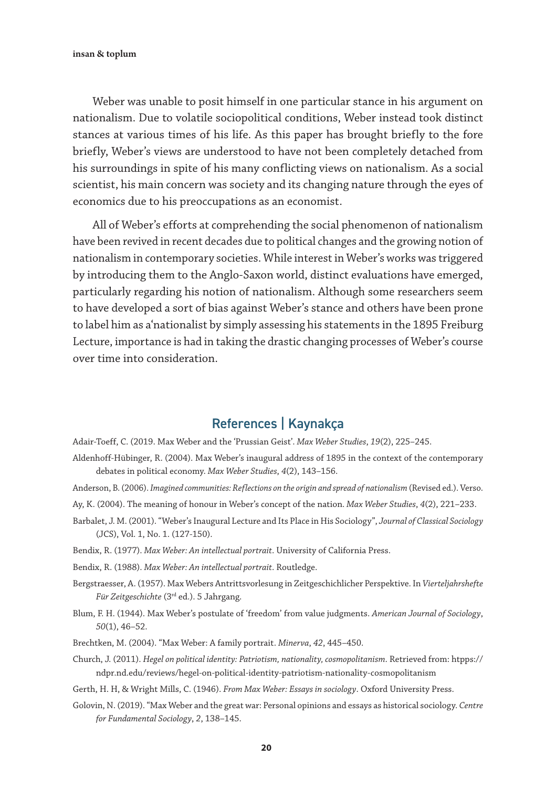Weber was unable to posit himself in one particular stance in his argument on nationalism. Due to volatile sociopolitical conditions, Weber instead took distinct stances at various times of his life. As this paper has brought briefly to the fore briefly, Weber's views are understood to have not been completely detached from his surroundings in spite of his many conflicting views on nationalism. As a social scientist, his main concern was society and its changing nature through the eyes of economics due to his preoccupations as an economist.

All of Weber's efforts at comprehending the social phenomenon of nationalism have been revived in recent decades due to political changes and the growing notion of nationalism in contemporary societies. While interest in Weber's works was triggered by introducing them to the Anglo-Saxon world, distinct evaluations have emerged, particularly regarding his notion of nationalism. Although some researchers seem to have developed a sort of bias against Weber's stance and others have been prone to label him as a'nationalist by simply assessing his statements in the 1895 Freiburg Lecture, importance is had in taking the drastic changing processes of Weber's course over time into consideration.

## References | Kaynakça

Adair-Toeff, C. (2019. Max Weber and the 'Prussian Geist'. *Max Weber Studies*, *19*(2), 225–245.

- Aldenhoff-Hübinger, R. (2004). Max Weber's inaugural address of 1895 in the context of the contemporary debates in political economy. *Max Weber Studies*, *4*(2), 143–156.
- Anderson, B. (2006). *Imagined communities: Reflections on the origin and spread of nationalism* (Revised ed.). Verso.
- Ay, K. (2004). The meaning of honour in Weber's concept of the nation. *Max Weber Studies*, *4*(2), 221–233.
- Barbalet, J. M. (2001). "Weber's Inaugural Lecture and Its Place in His Sociology", *Journal of Classical Sociology*  (JCS), Vol. 1, No. 1. (127-150).
- Bendix, R. (1977). *Max Weber: An intellectual portrait*. University of California Press.
- Bendix, R. (1988). *Max Weber: An intellectual portrait*. Routledge.
- Bergstraesser, A. (1957). Max Webers Antrittsvorlesung in Zeitgeschichlicher Perspektive. In *Vierteljahrshefte Für Zeitgeschichte* (3rd ed.). 5 Jahrgang.
- Blum, F. H. (1944). Max Weber's postulate of 'freedom' from value judgments. *American Journal of Sociology*, *50*(1), 46–52.
- Brechtken, M. (2004). "Max Weber: A family portrait. *Minerva*, *42*, 445–450.
- Church, J. (2011). *Hegel on political identity: Patriotism, nationality, cosmopolitanism*. Retrieved from: htpps:// ndpr.nd.edu/reviews/hegel-on-political-identity-patriotism-nationality-cosmopolitanism
- Gerth, H. H, & Wright Mills, C. (1946). *From Max Weber: Essays in sociology*. Oxford University Press.
- Golovin, N. (2019). "Max Weber and the great war: Personal opinions and essays as historical sociology. *Centre for Fundamental Sociology*, *2*, 138–145.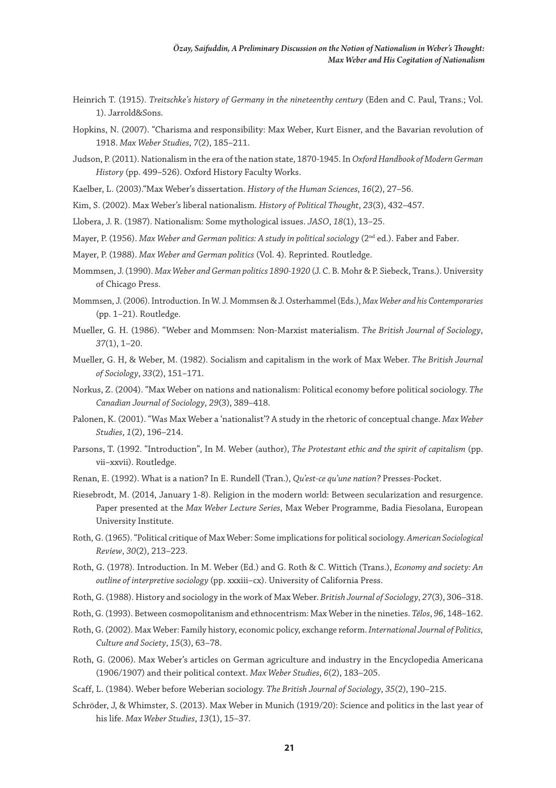- Heinrich T. (1915). *Treitschke's history of Germany in the nineteenthy century* (Eden and C. Paul, Trans.; Vol. 1). Jarrold&Sons.
- Hopkins, N. (2007). "Charisma and responsibility: Max Weber, Kurt Eisner, and the Bavarian revolution of 1918. *Max Weber Studies*, *7*(2), 185–211.
- Judson, P. (2011). Nationalism in the era of the nation state, 1870-1945. In *Oxford Handbook of Modern German History* (pp. 499–526). Oxford History Faculty Works.
- Kaelber, L. (2003)."Max Weber's dissertation. *History of the Human Sciences*, *16*(2), 27–56.
- Kim, S. (2002). Max Weber's liberal nationalism. *History of Political Thought*, *23*(3), 432–457.
- Llobera, J. R. (1987). Nationalism: Some mythological issues. *JASO*, *18*(1), 13–25.
- Mayer, P. (1956). *Max Weber and German politics: A study in political sociology* (2nd ed.). Faber and Faber.
- Mayer, P. (1988). *Max Weber and German politics* (Vol. 4). Reprinted. Routledge.
- Mommsen, J. (1990). *Max Weber and German politics 1890-1920* (J. C. B. Mohr & P. Siebeck, Trans.). University of Chicago Press.
- Mommsen, J. (2006). Introduction. In W. J. Mommsen & J. Osterhammel (Eds.), *Max Weber and his Contemporaries* (pp. 1–21). Routledge.
- Mueller, G. H. (1986). "Weber and Mommsen: Non-Marxist materialism. *The British Journal of Sociology*, *37*(1), 1–20.
- Mueller, G. H, & Weber, M. (1982). Socialism and capitalism in the work of Max Weber. *The British Journal of Sociology*, *33*(2), 151–171.
- Norkus, Z. (2004). "Max Weber on nations and nationalism: Political economy before political sociology. *The Canadian Journal of Sociology*, *29*(3), 389–418.
- Palonen, K. (2001). "Was Max Weber a 'nationalist'? A study in the rhetoric of conceptual change. *Max Weber Studies*, *1*(2), 196–214.
- Parsons, T. (1992. "Introduction", In M. Weber (author), *The Protestant ethic and the spirit of capitalism* (pp. vii–xxvii). Routledge.
- Renan, E. (1992). What is a nation? In E. Rundell (Tran.), *Qu'est-ce qu'une nation?* Presses-Pocket.
- Riesebrodt, M. (2014, January 1-8). Religion in the modern world: Between secularization and resurgence. Paper presented at the *Max Weber Lecture Series*, Max Weber Programme, Badia Fiesolana, European University Institute.
- Roth, G. (1965). "Political critique of Max Weber: Some implications for political sociology. *American Sociological Review*, *30*(2), 213–223.
- Roth, G. (1978). Introduction. In M. Weber (Ed.) and G. Roth & C. Wittich (Trans.), *Economy and society: An outline of interpretive sociology* (pp. xxxiii–cx). University of California Press.
- Roth, G. (1988). History and sociology in the work of Max Weber. *British Journal of Sociology*, *27*(3), 306–318.
- Roth, G. (1993). Between cosmopolitanism and ethnocentrism: Max Weber in the nineties. *Télos*, *96*, 148–162.
- Roth, G. (2002). Max Weber: Family history, economic policy, exchange reform. *International Journal of Politics, Culture and Society*, *15*(3), 63–78.
- Roth, G. (2006). Max Weber's articles on German agriculture and industry in the Encyclopedia Americana (1906/1907) and their political context. *Max Weber Studies*, *6*(2), 183–205.
- Scaff, L. (1984). Weber before Weberian sociology. *The British Journal of Sociology*, *35*(2), 190–215.
- Schröder, J, & Whimster, S. (2013). Max Weber in Munich (1919/20): Science and politics in the last year of his life. *Max Weber Studies*, *13*(1), 15–37.